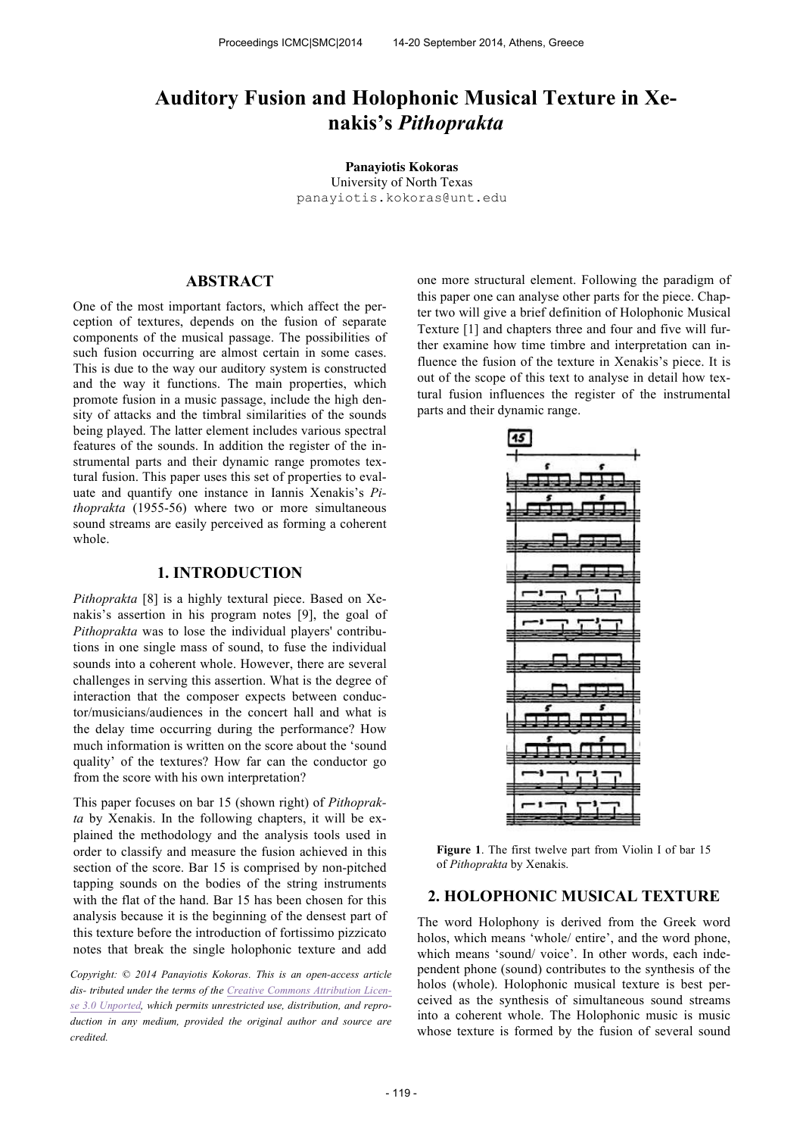# **Auditory Fusion and Holophonic Musical Texture in Xenakis's** *Pithoprakta*

**Panayiotis Kokoras** University of North Texas panayiotis.kokoras@unt.edu

# **ABSTRACT**

One of the most important factors, which affect the perception of textures, depends on the fusion of separate components of the musical passage. The possibilities of such fusion occurring are almost certain in some cases. This is due to the way our auditory system is constructed and the way it functions. The main properties, which promote fusion in a music passage, include the high density of attacks and the timbral similarities of the sounds being played. The latter element includes various spectral features of the sounds. In addition the register of the instrumental parts and their dynamic range promotes textural fusion. This paper uses this set of properties to evaluate and quantify one instance in Iannis Xenakis's *Pithoprakta* (1955-56) where two or more simultaneous sound streams are easily perceived as forming a coherent whole.

## **1. INTRODUCTION**

*Pithoprakta* [8] is a highly textural piece. Based on Xenakis's assertion in his program notes [9], the goal of *Pithoprakta* was to lose the individual players' contributions in one single mass of sound, to fuse the individual sounds into a coherent whole. However, there are several challenges in serving this assertion. What is the degree of interaction that the composer expects between conductor/musicians/audiences in the concert hall and what is the delay time occurring during the performance? How much information is written on the score about the 'sound quality' of the textures? How far can the conductor go from the score with his own interpretation?

This paper focuses on bar 15 (shown right) of *Pithoprakta* by Xenakis. In the following chapters, it will be explained the methodology and the analysis tools used in order to classify and measure the fusion achieved in this section of the score. Bar 15 is comprised by non-pitched tapping sounds on the bodies of the string instruments with the flat of the hand. Bar 15 has been chosen for this analysis because it is the beginning of the densest part of this texture before the introduction of fortissimo pizzicato notes that break the single holophonic texture and add

*Copyright: © 2014 Panayiotis Kokoras. This is an open-access article dis- tributed under the terms of the Creative Commons Attribution License 3.0 Unported, which permits unrestricted use, distribution, and reproduction in any medium, provided the original author and source are credited.*

one more structural element. Following the paradigm of this paper one can analyse other parts for the piece. Chapter two will give a brief definition of Holophonic Musical Texture [1] and chapters three and four and five will further examine how time timbre and interpretation can influence the fusion of the texture in Xenakis's piece. It is out of the scope of this text to analyse in detail how textural fusion influences the register of the instrumental parts and their dynamic range.



**Figure 1**. The first twelve part from Violin I of bar 15 of *Pithoprakta* by Xenakis.

## **2. HOLOPHONIC MUSICAL TEXTURE**

The word Holophony is derived from the Greek word holos, which means 'whole/ entire', and the word phone, which means 'sound/ voice'. In other words, each independent phone (sound) contributes to the synthesis of the holos (whole). Holophonic musical texture is best perceived as the synthesis of simultaneous sound streams into a coherent whole. The Holophonic music is music whose texture is formed by the fusion of several sound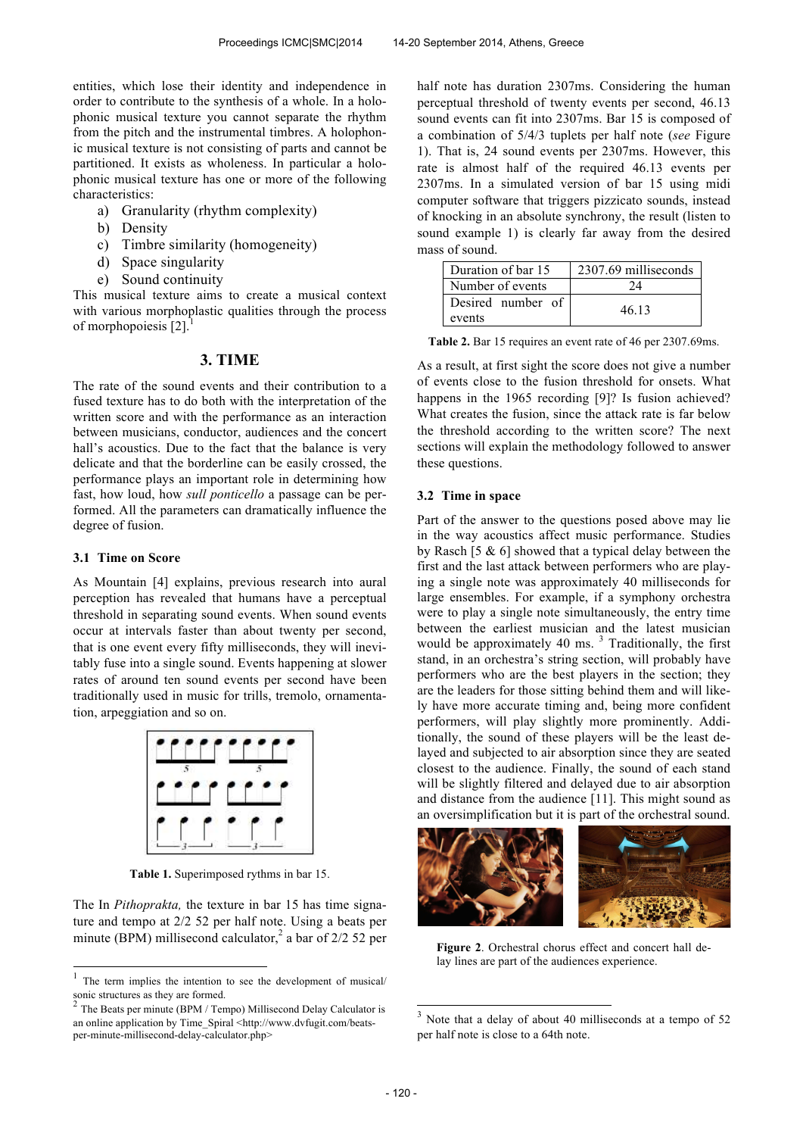entities, which lose their identity and independence in order to contribute to the synthesis of a whole. In a holophonic musical texture you cannot separate the rhythm from the pitch and the instrumental timbres. A holophonic musical texture is not consisting of parts and cannot be partitioned. It exists as wholeness. In particular a holophonic musical texture has one or more of the following characteristics:

- a) Granularity (rhythm complexity)
- b) Density
- c) Timbre similarity (homogeneity)
- d) Space singularity
- e) Sound continuity

This musical texture aims to create a musical context with various morphoplastic qualities through the process of morphopoiesis [2].

#### **3. TIME**

The rate of the sound events and their contribution to a fused texture has to do both with the interpretation of the written score and with the performance as an interaction between musicians, conductor, audiences and the concert hall's acoustics. Due to the fact that the balance is very delicate and that the borderline can be easily crossed, the performance plays an important role in determining how fast, how loud, how *sull ponticello* a passage can be performed. All the parameters can dramatically influence the degree of fusion.

#### **3.1 Time on Score**

As Mountain [4] explains, previous research into aural perception has revealed that humans have a perceptual threshold in separating sound events. When sound events occur at intervals faster than about twenty per second, that is one event every fifty milliseconds, they will inevitably fuse into a single sound. Events happening at slower rates of around ten sound events per second have been traditionally used in music for trills, tremolo, ornamentation, arpeggiation and so on.



**Table 1.** Superimposed rythms in bar 15.

The In *Pithoprakta,* the texture in bar 15 has time signature and tempo at 2/2 52 per half note. Using a beats per minute (BPM) millisecond calculator,<sup>2</sup> a bar of  $2/2$  52 per half note has duration 2307ms. Considering the human perceptual threshold of twenty events per second, 46.13 sound events can fit into 2307ms. Bar 15 is composed of a combination of 5/4/3 tuplets per half note (*see* Figure 1). That is, 24 sound events per 2307ms. However, this rate is almost half of the required 46.13 events per 2307ms. In a simulated version of bar 15 using midi computer software that triggers pizzicato sounds, instead of knocking in an absolute synchrony, the result (listen to sound example 1) is clearly far away from the desired mass of sound.

| Duration of bar 15          | 2307.69 milliseconds |
|-----------------------------|----------------------|
| Number of events            | 24                   |
| Desired number of<br>events | 46.13                |

**Table 2.** Bar 15 requires an event rate of 46 per 2307.69ms.

As a result, at first sight the score does not give a number of events close to the fusion threshold for onsets. What happens in the 1965 recording [9]? Is fusion achieved? What creates the fusion, since the attack rate is far below the threshold according to the written score? The next sections will explain the methodology followed to answer these questions.

#### **3.2 Time in space**

Part of the answer to the questions posed above may lie in the way acoustics affect music performance. Studies by Rasch [5 & 6] showed that a typical delay between the first and the last attack between performers who are playing a single note was approximately 40 milliseconds for large ensembles. For example, if a symphony orchestra were to play a single note simultaneously, the entry time between the earliest musician and the latest musician would be approximately 40 ms.  $3$  Traditionally, the first stand, in an orchestra's string section, will probably have performers who are the best players in the section; they are the leaders for those sitting behind them and will likely have more accurate timing and, being more confident performers, will play slightly more prominently. Additionally, the sound of these players will be the least delayed and subjected to air absorption since they are seated closest to the audience. Finally, the sound of each stand will be slightly filtered and delayed due to air absorption and distance from the audience [11]. This might sound as an oversimplification but it is part of the orchestral sound.



**Figure 2**. Orchestral chorus effect and concert hall delay lines are part of the audiences experience.

1

 1 The term implies the intention to see the development of musical/ sonic structures as they are formed.

The Beats per minute (BPM / Tempo) Millisecond Delay Calculator is an online application by Time\_Spiral <http://www.dvfugit.com/beatsper-minute-millisecond-delay-calculator.php>

Note that a delay of about 40 milliseconds at a tempo of 52 per half note is close to a 64th note.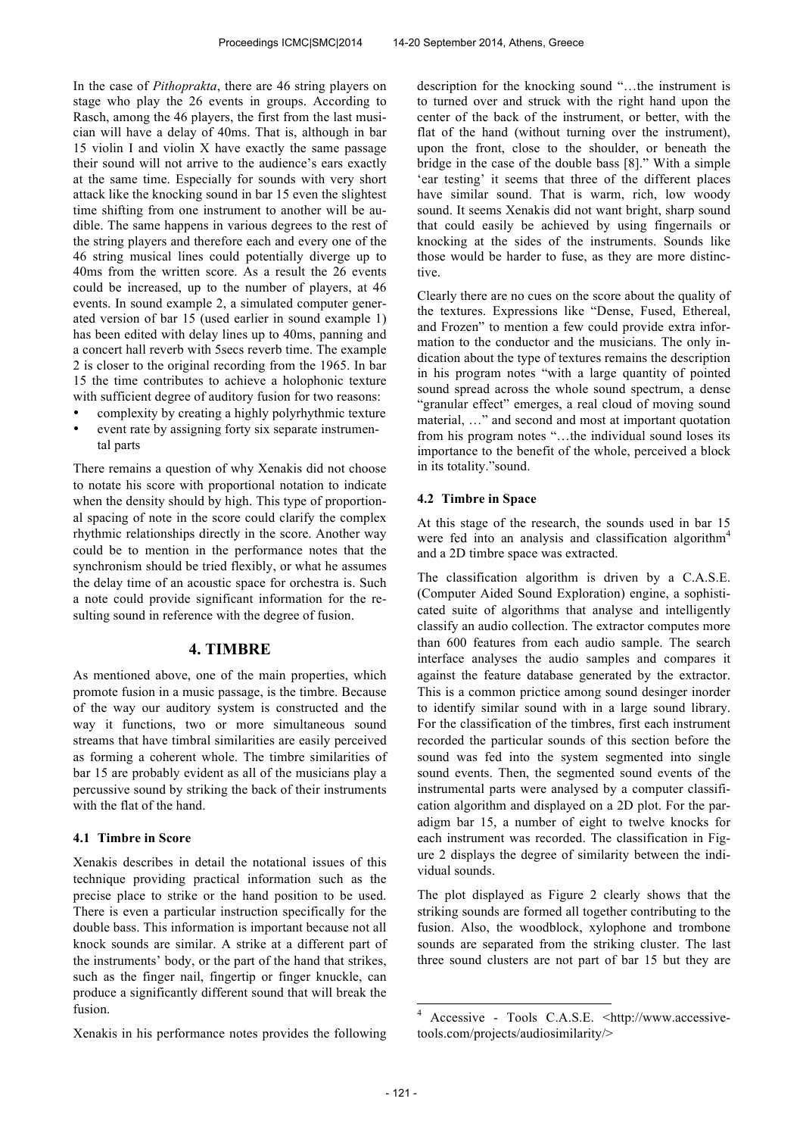In the case of *Pithoprakta*, there are 46 string players on stage who play the 26 events in groups. According to Rasch, among the 46 players, the first from the last musician will have a delay of 40ms. That is, although in bar 15 violin I and violin X have exactly the same passage their sound will not arrive to the audience's ears exactly at the same time. Especially for sounds with very short attack like the knocking sound in bar 15 even the slightest time shifting from one instrument to another will be audible. The same happens in various degrees to the rest of the string players and therefore each and every one of the 46 string musical lines could potentially diverge up to 40ms from the written score. As a result the 26 events could be increased, up to the number of players, at 46 events. In sound example 2, a simulated computer generated version of bar 15 (used earlier in sound example 1) has been edited with delay lines up to 40ms, panning and a concert hall reverb with 5secs reverb time. The example 2 is closer to the original recording from the 1965. In bar 15 the time contributes to achieve a holophonic texture with sufficient degree of auditory fusion for two reasons:

- complexity by creating a highly polyrhythmic texture
- event rate by assigning forty six separate instrumental parts

There remains a question of why Xenakis did not choose to notate his score with proportional notation to indicate when the density should by high. This type of proportional spacing of note in the score could clarify the complex rhythmic relationships directly in the score. Another way could be to mention in the performance notes that the synchronism should be tried flexibly, or what he assumes the delay time of an acoustic space for orchestra is. Such a note could provide significant information for the resulting sound in reference with the degree of fusion.

#### **4. TIMBRE**

As mentioned above, one of the main properties, which promote fusion in a music passage, is the timbre. Because of the way our auditory system is constructed and the way it functions, two or more simultaneous sound streams that have timbral similarities are easily perceived as forming a coherent whole. The timbre similarities of bar 15 are probably evident as all of the musicians play a percussive sound by striking the back of their instruments with the flat of the hand.

#### **4.1 Timbre in Score**

Xenakis describes in detail the notational issues of this technique providing practical information such as the precise place to strike or the hand position to be used. There is even a particular instruction specifically for the double bass. This information is important because not all knock sounds are similar. A strike at a different part of the instruments' body, or the part of the hand that strikes, such as the finger nail, fingertip or finger knuckle, can produce a significantly different sound that will break the fusion.

Xenakis in his performance notes provides the following

description for the knocking sound "…the instrument is to turned over and struck with the right hand upon the center of the back of the instrument, or better, with the flat of the hand (without turning over the instrument), upon the front, close to the shoulder, or beneath the bridge in the case of the double bass [8]." With a simple 'ear testing' it seems that three of the different places have similar sound. That is warm, rich, low woody sound. It seems Xenakis did not want bright, sharp sound that could easily be achieved by using fingernails or knocking at the sides of the instruments. Sounds like those would be harder to fuse, as they are more distinctive.

Clearly there are no cues on the score about the quality of the textures. Expressions like "Dense, Fused, Ethereal, and Frozen" to mention a few could provide extra information to the conductor and the musicians. The only indication about the type of textures remains the description in his program notes "with a large quantity of pointed sound spread across the whole sound spectrum, a dense "granular effect" emerges, a real cloud of moving sound material, …" and second and most at important quotation from his program notes "…the individual sound loses its importance to the benefit of the whole, perceived a block in its totality."sound.

#### **4.2 Timbre in Space**

At this stage of the research, the sounds used in bar 15 were fed into an analysis and classification algorithm<sup>4</sup> and a 2D timbre space was extracted.

The classification algorithm is driven by a C.A.S.E. (Computer Aided Sound Exploration) engine, a sophisticated suite of algorithms that analyse and intelligently classify an audio collection. The extractor computes more than 600 features from each audio sample. The search interface analyses the audio samples and compares it against the feature database generated by the extractor. This is a common prictice among sound desinger inorder to identify similar sound with in a large sound library. For the classification of the timbres, first each instrument recorded the particular sounds of this section before the sound was fed into the system segmented into single sound events. Then, the segmented sound events of the instrumental parts were analysed by a computer classification algorithm and displayed on a 2D plot. For the paradigm bar 15, a number of eight to twelve knocks for each instrument was recorded. The classification in Figure 2 displays the degree of similarity between the individual sounds.

The plot displayed as Figure 2 clearly shows that the striking sounds are formed all together contributing to the fusion. Also, the woodblock, xylophone and trombone sounds are separated from the striking cluster. The last three sound clusters are not part of bar 15 but they are

1

<sup>4</sup> Accessive - Tools C.A.S.E. <http://www.accessivetools.com/projects/audiosimilarity/>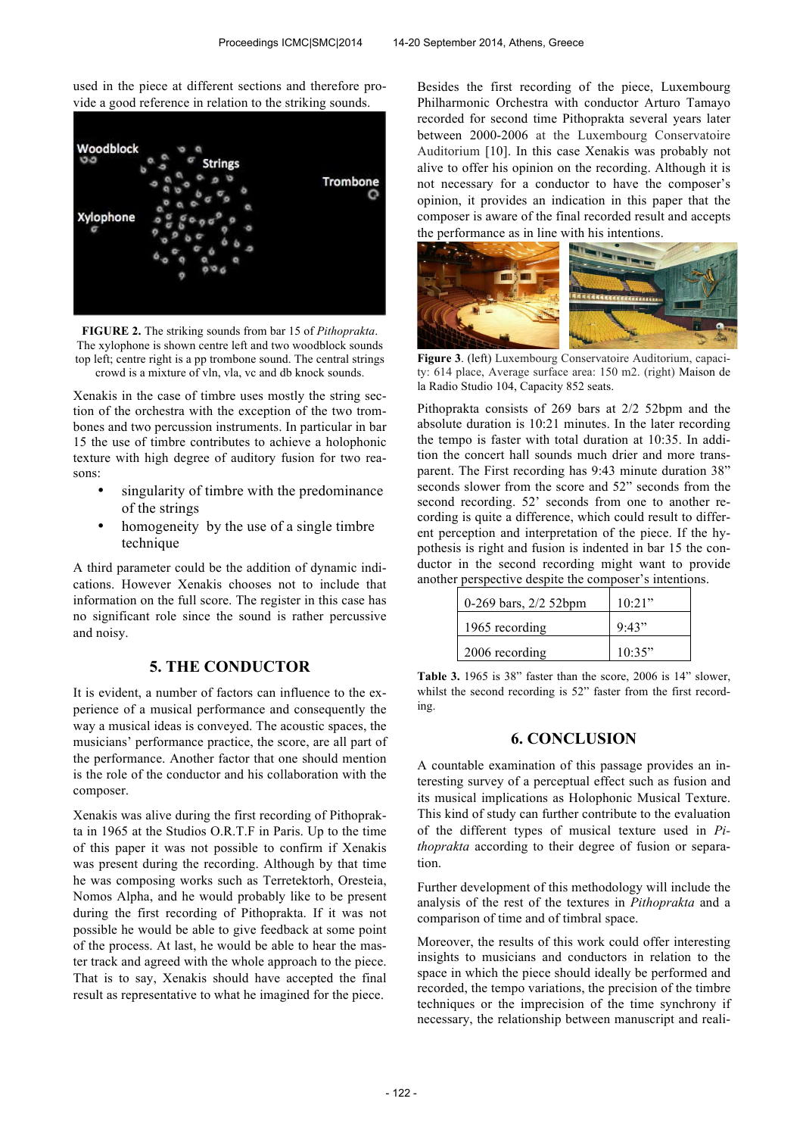used in the piece at different sections and therefore provide a good reference in relation to the striking sounds.



**FIGURE 2.** The striking sounds from bar 15 of *Pithoprakta*. The xylophone is shown centre left and two woodblock sounds top left; centre right is a pp trombone sound. The central strings crowd is a mixture of vln, vla, vc and db knock sounds.

Xenakis in the case of timbre uses mostly the string section of the orchestra with the exception of the two trombones and two percussion instruments. In particular in bar 15 the use of timbre contributes to achieve a holophonic texture with high degree of auditory fusion for two reasons:

- singularity of timbre with the predominance of the strings
- homogeneity by the use of a single timbre technique

A third parameter could be the addition of dynamic indications. However Xenakis chooses not to include that information on the full score. The register in this case has no significant role since the sound is rather percussive and noisy.

## **5. THE CONDUCTOR**

It is evident, a number of factors can influence to the experience of a musical performance and consequently the way a musical ideas is conveyed. The acoustic spaces, the musicians' performance practice, the score, are all part of the performance. Another factor that one should mention is the role of the conductor and his collaboration with the composer.

Xenakis was alive during the first recording of Pithoprakta in 1965 at the Studios O.R.T.F in Paris. Up to the time of this paper it was not possible to confirm if Xenakis was present during the recording. Although by that time he was composing works such as Terretektorh, Oresteia, Nomos Alpha, and he would probably like to be present during the first recording of Pithoprakta. If it was not possible he would be able to give feedback at some point of the process. At last, he would be able to hear the master track and agreed with the whole approach to the piece. That is to say, Xenakis should have accepted the final result as representative to what he imagined for the piece.

Besides the first recording of the piece, Luxembourg Philharmonic Orchestra with conductor Arturo Tamayo recorded for second time Pithoprakta several years later between 2000-2006 at the Luxembourg Conservatoire Auditorium [10]. In this case Xenakis was probably not alive to offer his opinion on the recording. Although it is not necessary for a conductor to have the composer's opinion, it provides an indication in this paper that the composer is aware of the final recorded result and accepts the performance as in line with his intentions.



**Figure 3**. (left) Luxembourg Conservatoire Auditorium, capacity: 614 place, Average surface area: 150 m2. (right) Maison de la Radio Studio 104, Capacity 852 seats.

Pithoprakta consists of 269 bars at 2/2 52bpm and the absolute duration is 10:21 minutes. In the later recording the tempo is faster with total duration at 10:35. In addition the concert hall sounds much drier and more transparent. The First recording has 9:43 minute duration 38" seconds slower from the score and 52" seconds from the second recording. 52' seconds from one to another recording is quite a difference, which could result to different perception and interpretation of the piece. If the hypothesis is right and fusion is indented in bar 15 the conductor in the second recording might want to provide another perspective despite the composer's intentions.

| 0-269 bars, $2/2$ 52bpm | 10.21" |
|-------------------------|--------|
| 1965 recording          | 9.43"  |
| 2006 recording          | 10.35" |

**Table 3.** 1965 is 38" faster than the score, 2006 is 14" slower, whilst the second recording is 52" faster from the first recording.

## **6. CONCLUSION**

A countable examination of this passage provides an interesting survey of a perceptual effect such as fusion and its musical implications as Holophonic Musical Texture. This kind of study can further contribute to the evaluation of the different types of musical texture used in *Pithoprakta* according to their degree of fusion or separation.

Further development of this methodology will include the analysis of the rest of the textures in *Pithoprakta* and a comparison of time and of timbral space.

Moreover, the results of this work could offer interesting insights to musicians and conductors in relation to the space in which the piece should ideally be performed and recorded, the tempo variations, the precision of the timbre techniques or the imprecision of the time synchrony if necessary, the relationship between manuscript and reali